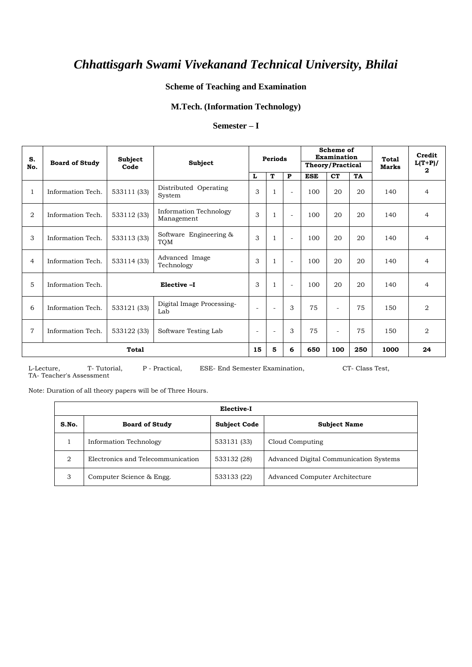### **Scheme of Teaching and Examination**

### **M.Tech. (Information Technology)**

#### **Semester – I**

| S.<br>No.      | <b>Board of Study</b> | Subject<br>Code                     | Subject                              |                          | <b>Periods</b>           |                          | Scheme of<br>Examination<br><b>Total</b><br>Theory/Practical<br><b>Marks</b> |                          | Credit<br>$L(T+P)/$ |      |                |
|----------------|-----------------------|-------------------------------------|--------------------------------------|--------------------------|--------------------------|--------------------------|------------------------------------------------------------------------------|--------------------------|---------------------|------|----------------|
|                |                       |                                     |                                      | L                        | T                        | P                        | <b>ESE</b>                                                                   | <b>CT</b>                | TA                  |      | 2              |
| $\mathbf{1}$   | Information Tech.     | 533111 (33)                         | Distributed Operating<br>System      | 3                        | $\mathbf{1}$             | $\overline{\phantom{a}}$ | 100                                                                          | 20                       | 20                  | 140  | $\overline{4}$ |
| 2              | Information Tech.     | 533112 (33)                         | Information Technology<br>Management |                          | 1                        | $\overline{\phantom{a}}$ | 100                                                                          | 20                       | 20                  | 140  | $\overline{4}$ |
| 3              | Information Tech.     | 533113 (33)                         | Software Engineering &<br>TQM        |                          | 1                        | $\overline{\phantom{a}}$ | 100                                                                          | 20                       | 20                  | 140  | $\overline{4}$ |
| $\overline{4}$ | Information Tech.     | 533114 (33)                         | Advanced Image<br>Technology         | 3                        | 1                        | $\overline{\phantom{a}}$ | 100                                                                          | 20                       | 20                  | 140  | $\overline{4}$ |
| 5              | Information Tech.     | Elective -I                         |                                      | 3                        | 1                        | $\overline{\phantom{a}}$ | 100                                                                          | 20                       | 20                  | 140  | $\overline{4}$ |
| 6              | Information Tech.     | 533121 (33)                         | Digital Image Processing-<br>Lab     |                          | $\overline{\phantom{a}}$ | 3                        | 75                                                                           | $\overline{\phantom{a}}$ | 75                  | 150  | $\overline{2}$ |
| $\overline{7}$ | Information Tech.     | 533122 (33)<br>Software Testing Lab |                                      | $\overline{\phantom{a}}$ | $\sim$                   | 3                        | 75                                                                           | $\overline{\phantom{0}}$ | 75                  | 150  | $\overline{2}$ |
|                |                       | <b>Total</b>                        |                                      | 15                       | 5                        | 6                        | 650                                                                          | 100                      | 250                 | 1000 | 24             |

L-Lecture, T- Tutorial, P - Practical, ESE- End Semester Examination, CT- Class Test, TA- Teacher's Assessment

Note: Duration of all theory papers will be of Three Hours.

|                | Elective-I                        |                     |                                        |  |  |  |  |  |  |  |
|----------------|-----------------------------------|---------------------|----------------------------------------|--|--|--|--|--|--|--|
| S.No.          | <b>Board of Study</b>             | <b>Subject Code</b> | <b>Subject Name</b>                    |  |  |  |  |  |  |  |
|                | Information Technology            | 533131 (33)         | Cloud Computing                        |  |  |  |  |  |  |  |
| $\overline{2}$ | Electronics and Telecommunication | 533132 (28)         | Advanced Digital Communication Systems |  |  |  |  |  |  |  |
| 3              | Computer Science & Engg.          | 533133 (22)         | Advanced Computer Architecture         |  |  |  |  |  |  |  |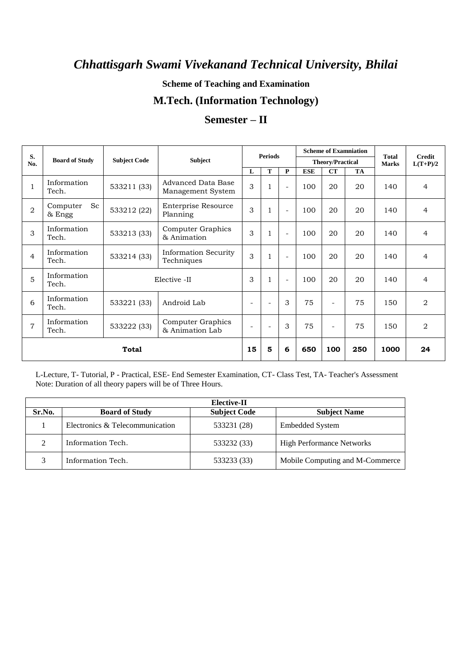**Scheme of Teaching and Examination**

## **M.Tech. (Information Technology)**

| S.             |                          |                     |                                           |                          | <b>Periods</b>           |                |            |                         | <b>Scheme of Examniation</b> | <b>Total</b> | <b>Credit</b><br>$L(T+P)/2$<br>4<br>$\overline{4}$<br>$\overline{4}$<br>$\overline{4}$<br>$\overline{4}$ |
|----------------|--------------------------|---------------------|-------------------------------------------|--------------------------|--------------------------|----------------|------------|-------------------------|------------------------------|--------------|----------------------------------------------------------------------------------------------------------|
| No.            | <b>Board of Study</b>    | <b>Subject Code</b> | <b>Subject</b>                            |                          |                          |                |            | <b>Theory/Practical</b> |                              | <b>Marks</b> |                                                                                                          |
|                |                          |                     |                                           | $\mathbf{L}$             | T                        | P              | <b>ESE</b> | CT                      | <b>TA</b>                    |              |                                                                                                          |
| 1              | Information<br>Tech.     | 533211 (33)         | Advanced Data Base<br>Management System   | 3                        | 1                        | ÷              | 100        | 20                      | 20                           | 140          |                                                                                                          |
| $\overline{2}$ | Sc<br>Computer<br>& Engg | 533212 (22)         | <b>Enterprise Resource</b><br>Planning    | 3                        | 1                        | ÷              | 100        | 20                      | 20                           | 140          |                                                                                                          |
| 3              | Information<br>Tech.     | 533213 (33)         | Computer Graphics<br>& Animation          | 3                        | 1                        | $\sim$         | 100        | 20                      | 20                           | 140          |                                                                                                          |
| $\overline{4}$ | Information<br>Tech.     | 533214 (33)         | <b>Information Security</b><br>Techniques | 3                        | $\mathbf{1}$             | $\blacksquare$ | 100        | 20                      | 20                           | 140          |                                                                                                          |
| 5              | Information<br>Tech.     | Elective -II        |                                           | 3                        | $\mathbf{1}$             | $\sim$         | 100        | 20                      | 20                           | 140          |                                                                                                          |
| 6              | Information<br>Tech.     | 533221 (33)         | Android Lab                               | $\sim$                   | $\overline{\phantom{a}}$ | 3              | 75         | L.                      | 75                           | 150          | $\overline{2}$                                                                                           |
| $\overline{7}$ | Information<br>Tech.     | 533222 (33)         | Computer Graphics<br>& Animation Lab      | $\overline{\phantom{a}}$ | $\overline{\phantom{a}}$ | 3              | 75         | $\equiv$                | 75                           | 150          | $\overline{2}$                                                                                           |
| <b>Total</b>   |                          |                     |                                           | 15                       | 5                        | 6              | 650        | 100                     | 250                          | 1000         | 24                                                                                                       |

## **Semester – II**

L-Lecture, T- Tutorial, P - Practical, ESE- End Semester Examination, CT- Class Test, TA- Teacher's Assessment Note: Duration of all theory papers will be of Three Hours.

|          | Elective-II                     |                     |                                  |  |  |  |  |  |  |  |  |
|----------|---------------------------------|---------------------|----------------------------------|--|--|--|--|--|--|--|--|
| Sr.No.   | <b>Board of Study</b>           | <b>Subject Code</b> | <b>Subject Name</b>              |  |  |  |  |  |  |  |  |
|          | Electronics & Telecommunication | 533231 (28)         | <b>Embedded System</b>           |  |  |  |  |  |  |  |  |
| $\gamma$ | Information Tech.               | 533232 (33)         | <b>High Performance Networks</b> |  |  |  |  |  |  |  |  |
|          | Information Tech.               | 533233 (33)         | Mobile Computing and M-Commerce  |  |  |  |  |  |  |  |  |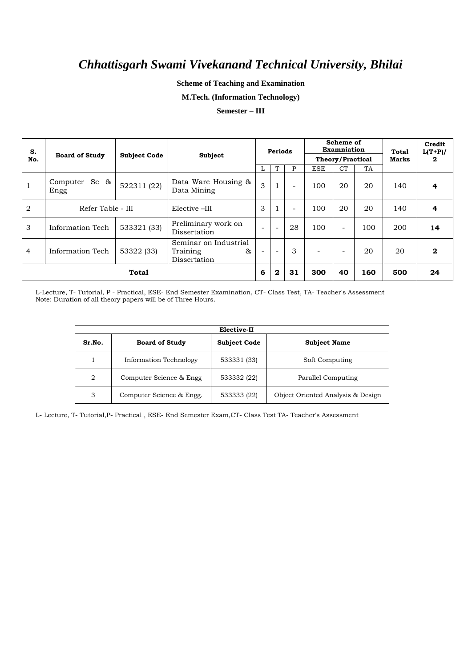**Scheme of Teaching and Examination**

**M.Tech. (Information Technology)**

#### **Semester – III**

| S.<br>No.      | <b>Board of Study</b>       | <b>Subject Code</b> | Subject                                                  | <b>Periods</b>           |                          | Scheme of<br>Examniation<br>Theory/Practical |            | Total<br>Marks           |     | Credit<br>$L(T+P)/$<br>2 |    |
|----------------|-----------------------------|---------------------|----------------------------------------------------------|--------------------------|--------------------------|----------------------------------------------|------------|--------------------------|-----|--------------------------|----|
|                |                             |                     |                                                          |                          | T                        | P                                            | <b>ESE</b> | <b>CT</b>                | TA  |                          |    |
|                | Sc $\&$<br>Computer<br>Engg | 522311 (22)         | Data Ware Housing &<br>Data Mining                       | 3                        | $\mathbf{1}$             | -                                            | 100        | 20                       | 20  | 140                      | 4  |
| $\overline{2}$ | Refer Table - III           |                     | Elective -III                                            | 3                        | 1                        | $\overline{\phantom{a}}$                     | 100        | 20                       | 20  | 140                      | 4  |
| 3              | Information Tech            | 533321 (33)         | Preliminary work on<br>Dissertation                      | $\overline{\phantom{a}}$ | $\overline{\phantom{a}}$ | 28                                           | 100        | $\overline{\phantom{a}}$ | 100 | 200                      | 14 |
| $\overline{4}$ | Information Tech            | 53322 (33)          | Seminar on Industrial<br>85.<br>Training<br>Dissertation | $\overline{\phantom{0}}$ | $\overline{\phantom{a}}$ | 3                                            | ÷          | -                        | 20  | 20                       | 2  |
|                | Total                       |                     |                                                          |                          |                          | 31                                           | 300        | 40                       | 160 | 500                      | 24 |

L-Lecture, T- Tutorial, P - Practical, ESE- End Semester Examination, CT- Class Test, TA- Teacher's Assessment Note: Duration of all theory papers will be of Three Hours.

|        | Elective-II                   |                     |                                   |  |  |  |  |  |  |  |  |
|--------|-------------------------------|---------------------|-----------------------------------|--|--|--|--|--|--|--|--|
| Sr.No. | <b>Board of Study</b>         | <b>Subject Code</b> | <b>Subject Name</b>               |  |  |  |  |  |  |  |  |
|        | <b>Information Technology</b> | 533331 (33)         | Soft Computing                    |  |  |  |  |  |  |  |  |
| 2      | Computer Science & Engg       | 533332 (22)         | Parallel Computing                |  |  |  |  |  |  |  |  |
| 3      | Computer Science & Engg.      | 533333 (22)         | Object Oriented Analysis & Design |  |  |  |  |  |  |  |  |

L- Lecture, T- Tutorial,P- Practical , ESE- End Semester Exam,CT- Class Test TA- Teacher's Assessment